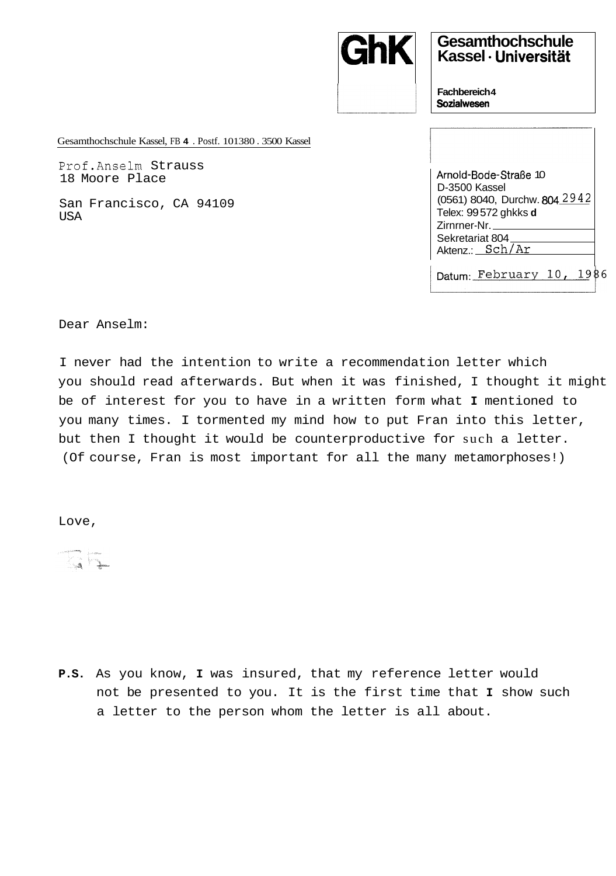

**Gesamthochschule**  Kassel · Universität

**Fachbereich 4 Sozialwesen** 

Gesamthochschule Kassel, FB **4** . Postf. 101380 . 3500 Kassel

Prof.Anselm Strauss 18 Moore Place

San Francisco, CA 94109 USA

| Arnold-Bode-Straße 10<br>D-3500 Kassel<br>(0561) 8040, Durchw. 804 2942 |
|-------------------------------------------------------------------------|
| Telex: 99572 ghkks d                                                    |
| Zirnrner-Nr                                                             |
| Sekretariat 804                                                         |
| Aktenz.: Sch/Ar                                                         |
|                                                                         |
| Datum: February 10,                                                     |

Dear Anselm:

I never had the intention to write a recommendation letter which you should read afterwards. But when it was finished, I thought it might be of interest for you to have in a written form what **I** mentioned to you many times. I tormented my mind how to put Fran into this letter, but then I thought it would be counterproductive for such a letter. (Of course, Fran is most important for all the many metamorphoses!)

Love,

**P.S.** As you know, **I** was insured, that my reference letter would not be presented to you. It is the first time that **I** show such a letter to the person whom the letter is all about.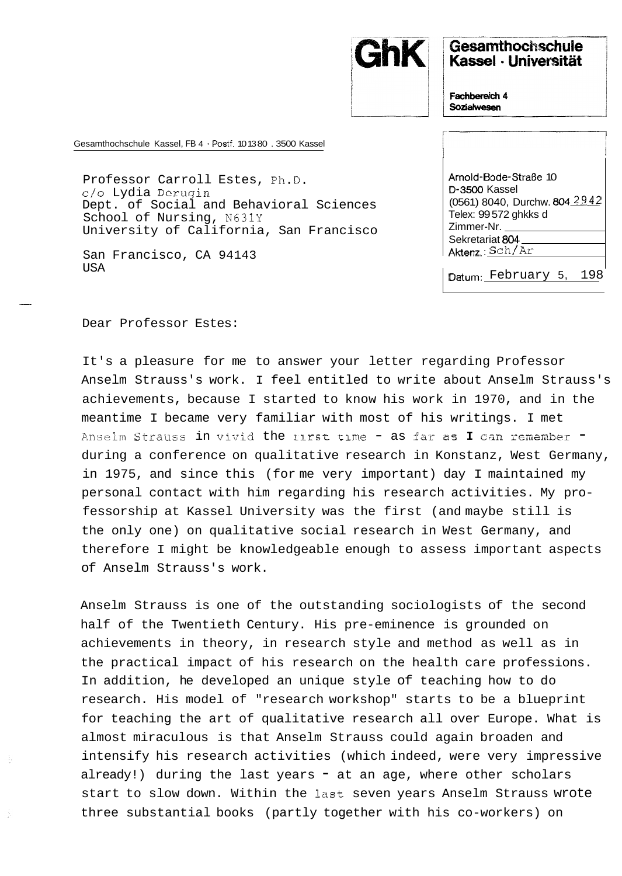

## Gesamthochschule Kassel · Universität

Fachbereich 4 Sozialwesen

Gesamthochschule Kassel, FB 4 Postf. 10 13 80 . 3500 Kassel

Professor Carroll Estes, Ph.D. c/o Lydia Derugin Dept. of Social and Behavioral Sciences School of Nursing, N631Y University of California, San Francisco

San Francisco, CA 94143 USA

I I Arnold-Bode-Straße 10 D-3500 Kassel (0561) 8040, Durchw. 804\_2942 Telex: 99 572 ghkks d Zimmer-Nr. Sekretariat *804*  Aktenz.: Sch/Ar Datum: February 5, 198

Dear Professor Estes:

It's a pleasure for me to answer your letter regarding Professor Anselm Strauss's work. I feel entitled to write about Anselm Strauss's achievements, because I started to know his work in 1970, and in the meantime I became very familiar with most of his writings. I met Anseim Strauss in vivid the first time - as far as I can remember during a conference on qualitative research in Konstanz, West Germany, in 1975, and since this (for me very important) day I maintained my personal contact with him regarding his research activities. My professorship at Kassel University was the first (and maybe still is the only one) on qualitative social research in West Germany, and therefore I might be knowledgeable enough to assess important aspects of Anselm Strauss's work.

Anselm Strauss is one of the outstanding sociologists of the second half of the Twentieth Century. His pre-eminence is grounded on achievements in theory, in research style and method as well as in the practical impact of his research on the health care professions. In addition, he developed an unique style of teaching how to do research. His model of "research workshop" starts to be a blueprint for teaching the art of qualitative research all over Europe. What is almost miraculous is that Anselm Strauss could again broaden and intensify his research activities (which indeed, were very impressive already!) during the last years  $=$  at an age, where other scholars start to slow down. Within the last seven years Anselm Strauss wrote three substantial books (partly together with his co-workers) on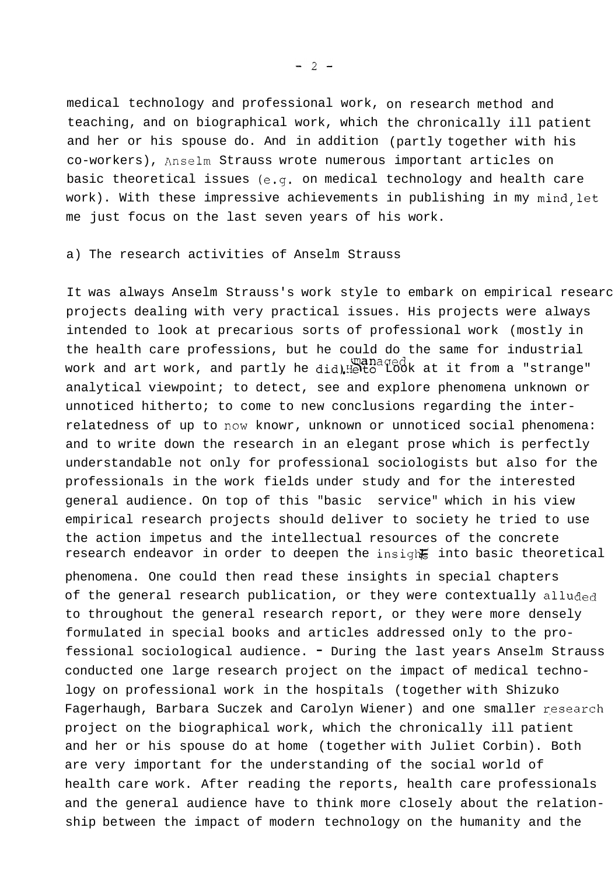medical technology and professional work, on research method and teaching, and on biographical work, which the chronically ill patient and her or his spouse do. And in addition (partly together with his co-workers), Rnselm Strauss wrote numerous important articles on basic theoretical issues (e.g. on medical technology and health care work). With these impressive achievements in publishing in my mind,let me just focus on the last seven years of his work.

## a) The research activities of Anselm Strauss

It was always Anselm Strauss's work style to embark on empirical researc projects dealing with very practical issues. His projects were always intended to look at precarious sorts of professional work (mostly in the health care professions, but he could do the same for industrial work and art work, and partly he did).Heto Look at it from a "strange" analytical viewpoint; to detect, see and explore phenomena unknown or unnoticed hitherto; to come to new conclusions regarding the interrelatedness of up to now knowr, unknown or unnoticed social phenomena: and to write down the research in an elegant prose which is perfectly understandable not only for professional sociologists but also for the professionals in the work fields under study and for the interested general audience. On top of this "basic service" which in his view empirical research projects should deliver to society he tried to use the action impetus and the intellectual resources of the concrete research endeavor in order to deepen the insigh<sup>t</sup> into basic theoretical phenomena. One could then read these insights in special chapters of the general research publication, or they were contextually alluded to throughout the general research report, or they were more densely formulated in special books and articles addressed only to the professional sociological audience. - During the last years Anselm Strauss conducted one large research project on the impact of medical technology on professional work in the hospitals (together with Shizuko Fagerhaugh, Barbara Suczek and Carolyn Wiener) and one smaller research project on the biographical work, which the chronically ill patient and her or his spouse do at home (together with Juliet Corbin). Both are very important for the understanding of the social world of health care work. After reading the reports, health care professionals and the general audience have to think more closely about the relationship between the impact of modern technology on the humanity and the

 $-2-$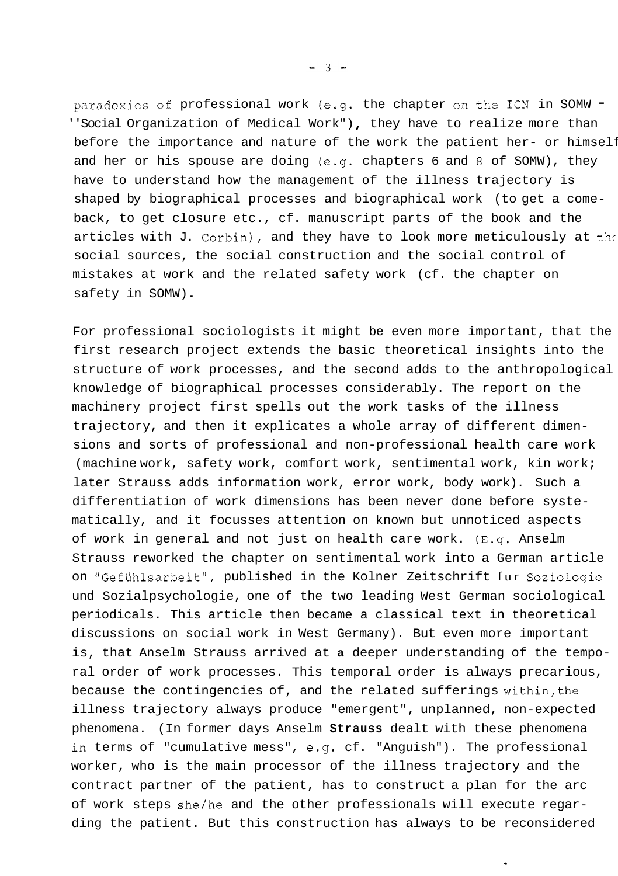paradoxies of professional work (e.g. the chapter on the ICN in SOMW  $=$ ''Social Organization of Medical Work"), they have to realize more than before the importance and nature of the work the patient her- or himself and her or his spouse are doing (e.g. chapters 6 and 8 of SOMW), they have to understand how the management of the illness trajectory is shaped by biographical processes and biographical work (to get a comeback, to get closure etc., cf. manuscript parts of the book and the articles with J. Corbin), and they have to look more meticulously at the social sources, the social construction and the social control of mistakes at work and the related safety work (cf. the chapter on safety in SOMW) .

For professional sociologists it might be even more important, that the first research project extends the basic theoretical insights into the structure of work processes, and the second adds to the anthropological knowledge of biographical processes considerably. The report on the machinery project first spells out the work tasks of the illness trajectory, and then it explicates a whole array of different dimensions and sorts of professional and non-professional health care work (machine work, safety work, comfort work, sentimental work, kin work; later Strauss adds information work, error work, body work). Such a differentiation of work dimensions has been never done before systematically, and it focusses attention on known but unnoticed aspects of work in general and not just on health care work. (E.g. Anselm Strauss reworked the chapter on sentimental work into a German article on "Gefiihlsarbeit", published in the Kolner Zeitschrift fur Soziologie und Sozialpsychologie, one of the two leading West German sociological periodicals. This article then became a classical text in theoretical discussions on social work in West Germany). But even more important is, that Anselm Strauss arrived at **a** deeper understanding of the temporal order of work processes. This temporal order is always precarious, because the contingencies of, and the related sufferings within, the illness trajectory always produce "emergent", unplanned, non-expected phenomena. (In former days Anselm **Strauss** dealt with these phenomena in terms of "cumulative mess", e.g. cf. "Anguish"). The professional worker, who is the main processor of the illness trajectory and the contract partner of the patient, has to construct a plan for the arc of work steps she/he and the other professionals will execute regarding the patient. But this construction has always to be reconsidered

 $\Delta$ 

 $-3 -$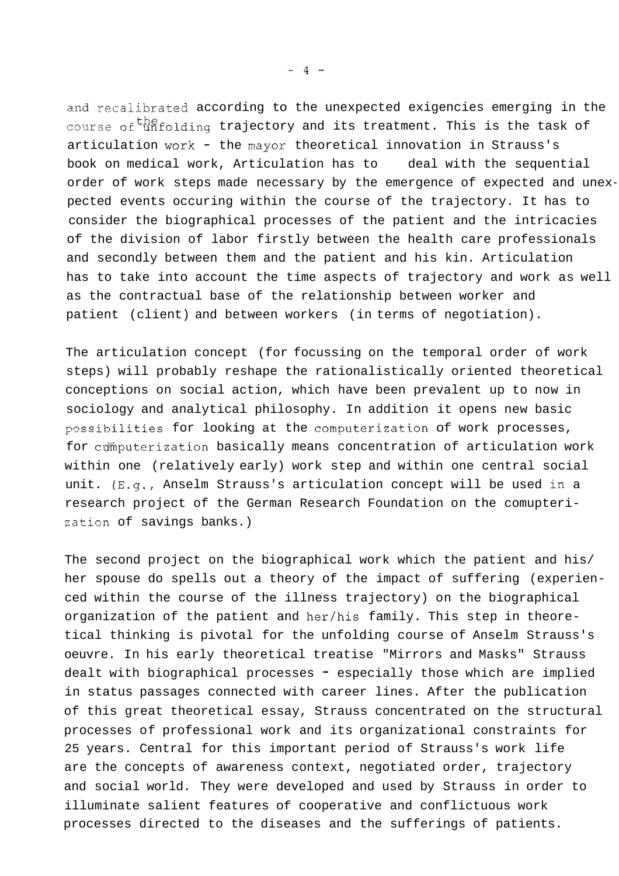and recalibrated according to the unexpected exigencies emerging in the course of  ${}^{th0}_{un}$  folding trajectory and its treatment. This is the task of articulation work - the mayor theoretical innovation in Strauss's book on medical work, Articulation has to deal with the sequential order of work steps made necessary by the emergence of expected and unexpected events occuring within the course of the trajectory. It has to consider the biographical processes of the patient and the intricacies of the division of labor firstly between the health care professionals and secondly between them and the patient and his kin. Articulation has to take into account the time aspects of trajectory and work as well as the contractual base of the relationship between worker and patient (client) and between workers (in terms of negotiation).

The articulation concept (for focussing on the temporal order of work steps) will probably reshape the rationalistically oriented theoretical conceptions on social action, which have been prevalent up to now in sociology and analytical philosophy. In addition it opens new basic possibilities for looking at the computerization of work processes, for computerization basically means concentration of articulation work within one (relatively early) work step and within one central social unit. (E.g., Anselm Strauss's articulation concept will be used in a research project of the German Research Foundation on the comupterization of savings banks.)

The second project on the biographical work which the patient and his/ her spouse do spells out a theory of the impact of suffering (experienced within the course of the illness trajectory) on the biographical organization of the patient and her/his family. This step in theoretical thinking is pivotal for the unfolding course of Anselm Strauss's oeuvre. In his early theoretical treatise "Mirrors and Masks" Strauss dealt with biographical processes - especially those which are implied in status passages connected with career lines. After the publication of this great theoretical essay, Strauss concentrated on the structural processes of professional work and its organizational constraints for 25 years. Central for this important period of Strauss's work life are the concepts of awareness context, negotiated order, trajectory and social world. They were developed and used by Strauss in order to illuminate salient features of cooperative and conflictuous work processes directed to the diseases and the sufferings of patients.

 $-4-$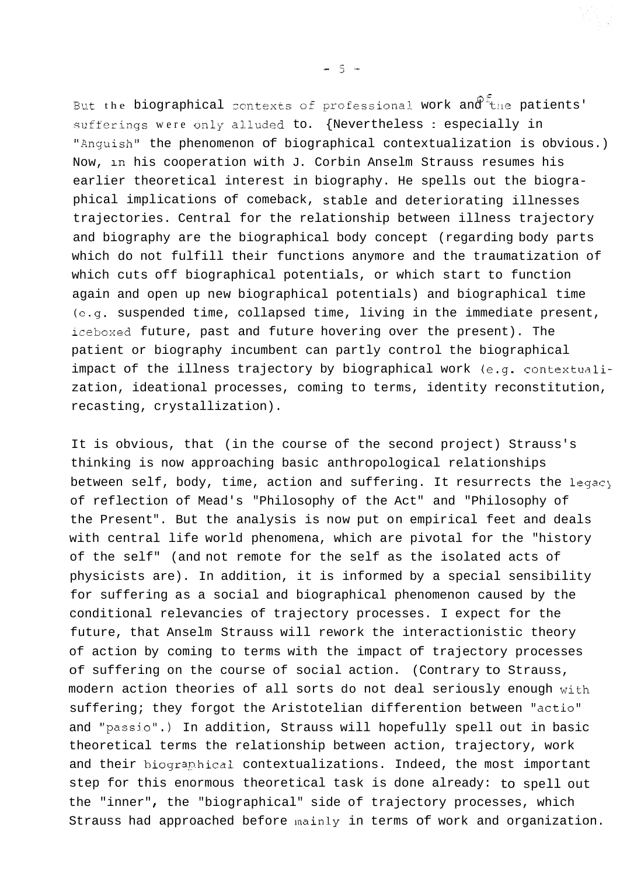But the biographical contexts of professional work and the patients' sufferings were only alluded to. {Nevertheless : especially in "Anguish" the phenomenon of biographical contextualization is obvious.) Now, in his cooperation with J. Corbin Anselm Strauss resumes his earlier theoretical interest in biography. He spells out the biographical implications of comeback, stable and deteriorating illnesses trajectories. Central for the relationship between illness trajectory and biography are the biographical body concept (regarding body parts which do not fulfill their functions anymore and the traumatization of which cuts off biographical potentials, or which start to function again and open up new biographical potentials) and biographical time (e.g. suspended time, collapsed time, living in the immediate present, iceboxed future, past and future hovering over the present). The patient or biography incumbent can partly control the biographical impact of the illness trajectory by biographical work (e.g. contextualization, ideational processes, coming to terms, identity reconstitution, recasting, crystallization).

It is obvious, that (in the course of the second project) Strauss's thinking is now approaching basic anthropological relationships between self, body, time, action and suffering. It resurrects the legacy of reflection of Mead's "Philosophy of the Act" and "Philosophy of the Present". But the analysis is now put on empirical feet and deals with central life world phenomena, which are pivotal for the "history of the self" (and not remote for the self as the isolated acts of physicists are). In addition, it is informed by a special sensibility for suffering as a social and biographical phenomenon caused by the conditional relevancies of trajectory processes. I expect for the future, that Anselm Strauss will rework the interactionistic theory of action by coming to terms with the impact of trajectory processes of suffering on the course of social action. (Contrary to Strauss, modern action theories of all sorts do not deal seriously enough with suffering; they forgot the Aristotelian differention between "actio" and "passio".) In addition, Strauss will hopefully spell out in basic theoretical terms the relationship between action, trajectory, work and their biographical contextualizations. Indeed, the most important step for this enormous theoretical task is done already: to spell out the "inner", the "biographical" side of trajectory processes, which Strauss had approached before mainly in terms of work and organization.

 $-5 -$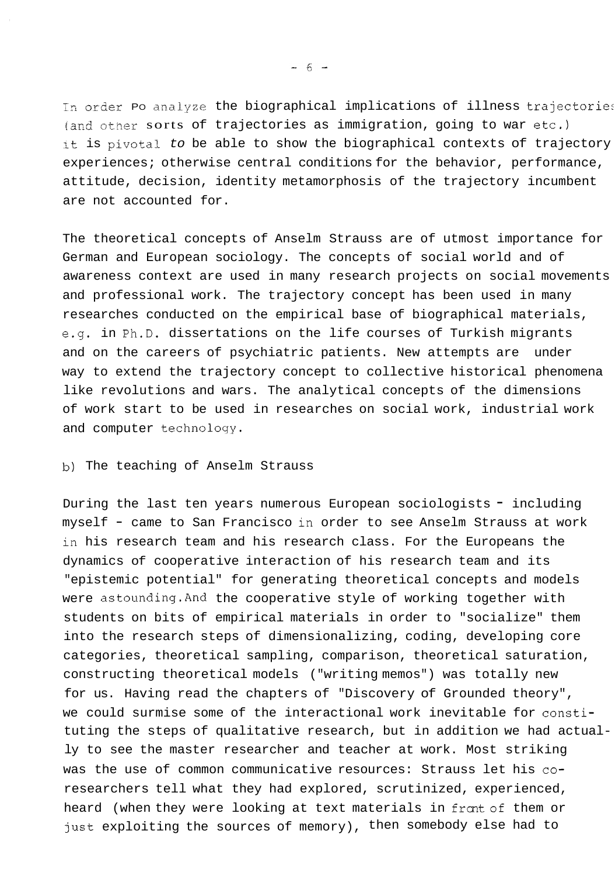In order Po analyze the biographical implications of illness trajectories  $($ and other sorts of trajectories as immigration, going to war etc.) it is pivotal *to* be able to show the biographical contexts of trajectory experiences; otherwise central conditions for the behavior, performance, attitude, decision, identity metamorphosis of the trajectory incumbent are not accounted for.

The theoretical concepts of Anselm Strauss are of utmost importance for German and European sociology. The concepts of social world and of awareness context are used in many research projects on social movements and professional work. The trajectory concept has been used in many researches conducted on the empirical base of biographical materials, e.g. in Ph.D. dissertations on the life courses of Turkish migrants and on the careers of psychiatric patients. New attempts are under way to extend the trajectory concept to collective historical phenomena like revolutions and wars. The analytical concepts of the dimensions of work start to be used in researches on social work, industrial work and computer technoloqy.

## b) The teaching of Anselm Strauss

During the last ten years numerous European sociologists " including myself - came to San Francisco in order to see Anselm Strauss at work in his research team and his research class. For the Europeans the dynamics of cooperative interaction of his research team and its "epistemic potential" for generating theoretical concepts and models were astounding.And the cooperative style of working together with students on bits of empirical materials in order to "socialize" them into the research steps of dimensionalizing, coding, developing core categories, theoretical sampling, comparison, theoretical saturation, constructing theoretical models ("writing memos") was totally new for us. Having read the chapters of "Discovery of Grounded theory", we could surmise some of the interactional work inevitable for constituting the steps of qualitative research, but in addition we had actually to see the master researcher and teacher at work. Most striking was the use of common communicative resources: Strauss let his coresearchers tell what they had explored, scrutinized, experienced, heard (when they were looking at text materials in front of them or just exploiting the sources of memory), then somebody else had to

 $-6 -$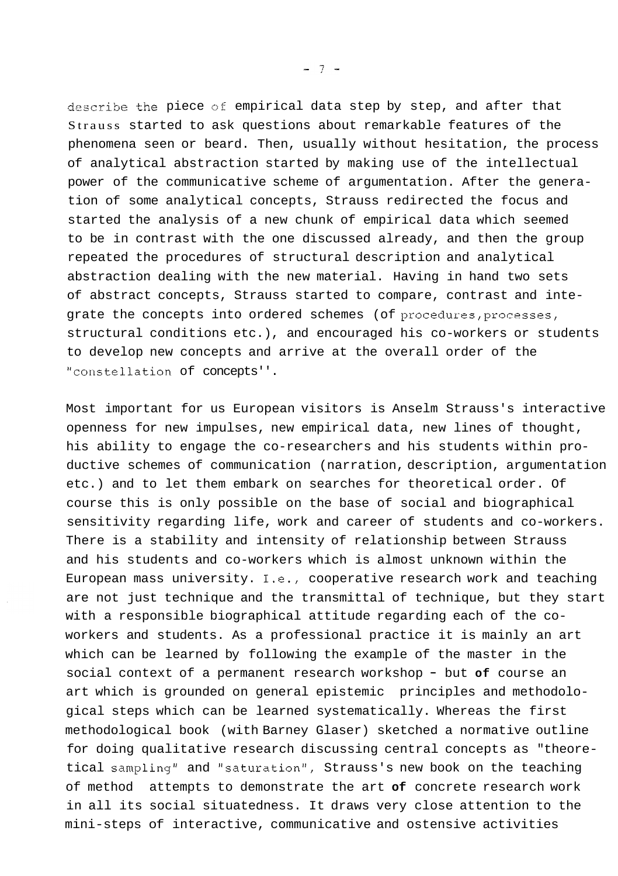describe the piece of empirical data step by step, and after that Strauss started to ask questions about remarkable features of the phenomena seen or beard. Then, usually without hesitation, the process of analytical abstraction started by making use of the intellectual power of the communicative scheme of argumentation. After the generation of some analytical concepts, Strauss redirected the focus and started the analysis of a new chunk of empirical data which seemed to be in contrast with the one discussed already, and then the group repeated the procedures of structural description and analytical abstraction dealing with the new material. Having in hand two sets of abstract concepts, Strauss started to compare, contrast and integrate the concepts into ordered schemes (of procedures, processes, structural conditions etc.), and encouraged his co-workers or students to develop new concepts and arrive at the overall order of the "constellation of concepts''.

Most important for us European visitors is Anselm Strauss's interactive openness for new impulses, new empirical data, new lines of thought, his ability to engage the co-researchers and his students within productive schemes of communication (narration, description, argumentation etc.) and to let them embark on searches for theoretical order. Of course this is only possible on the base of social and biographical sensitivity regarding life, work and career of students and co-workers. There is a stability and intensity of relationship between Strauss and his students and co-workers which is almost unknown within the European mass university. I.e., cooperative research work and teaching are not just technique and the transmittal of technique, but they start with a responsible biographical attitude regarding each of the coworkers and students. As a professional practice it is mainly an art which can be learned by following the example of the master in the social context of a permanent research workshop - but **of** course an art which is grounded on general epistemic principles and methodological steps which can be learned systematically. Whereas the first methodological book (with Barney Glaser) sketched a normative outline for doing qualitative research discussing central concepts as "theoretical sampling" and "saturation", Strauss's new book on the teaching of method attempts to demonstrate the art **of** concrete research work in all its social situatedness. It draws very close attention to the mini-steps of interactive, communicative and ostensive activities

 $-7 -$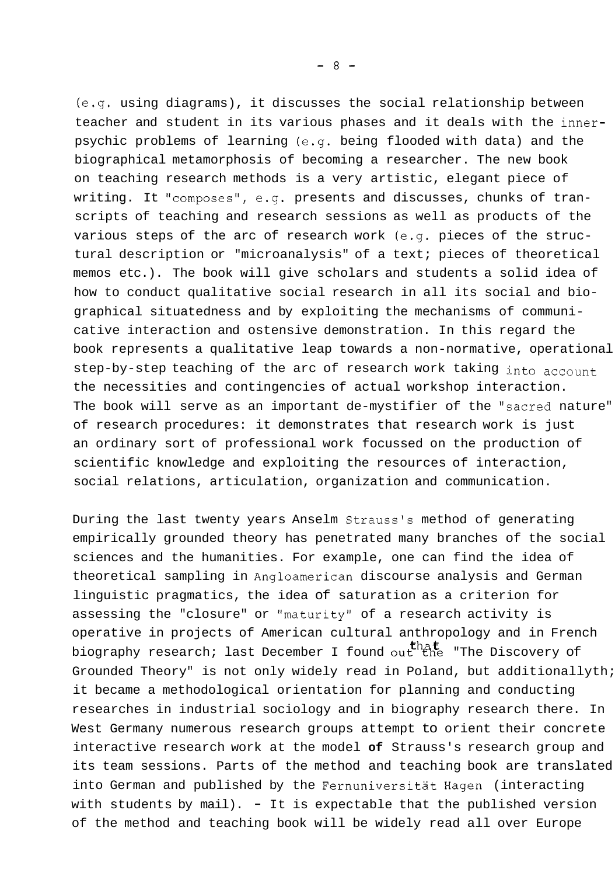(e-g. using diagrams), it discusses the social relationship between teacher and student in its various phases and it deals with the innerpsychic problems of learning (e.g. being flooded with data) and the biographical metamorphosis of becoming a researcher. The new book on teaching research methods is a very artistic, elegant piece of writing. It "composes'', e.g. presents and discusses, chunks of transcripts of teaching and research sessions as well as products of the various steps of the arc of research work (e.g. pieces of the structural description or "microanalysis" of a text; pieces of theoretical memos etc.). The book will give scholars and students a solid idea of how to conduct qualitative social research in all its social and biographical situatedness and by exploiting the mechanisms of communicative interaction and ostensive demonstration. In this regard the book represents a qualitative leap towards a non-normative, operational step-by-step teaching of the arc of research work taking into account the necessities and contingencies of actual workshop interaction. The book will serve as an important de-mystifier of the "sacred nature" of research procedures: it demonstrates that research work is just an ordinary sort of professional work focussed on the production of scientific knowledge and exploiting the resources of interaction, social relations, articulation, organization and communication.

During the last twenty years Anselm Strauss's method of generating empirically grounded theory has penetrated many branches of the social sciences and the humanities. For example, one can find the idea of theoretical sampling in Angloamerican discourse analysis and German linguistic pragmatics, the idea of saturation as a criterion for assessing the "closure" or "maturity" of a research activity is operative in projects of American cultural anthropology and in French biography research; last December I found out that "The Discovery of Grounded Theory" is not only widely read in Poland, but additionallyth; it became a methodological orientation for planning and conducting researches in industrial sociology and in biography research there. In West Germany numerous research groups attempt to orient their concrete interactive research work at the model **of** Strauss's research group and its team sessions. Parts of the method and teaching book are translated into German and published by the Fernuniversität Hagen (interacting with students by mail).  $-$  It is expectable that the published version of the method and teaching book will be widely read all over Europe

 $-8-$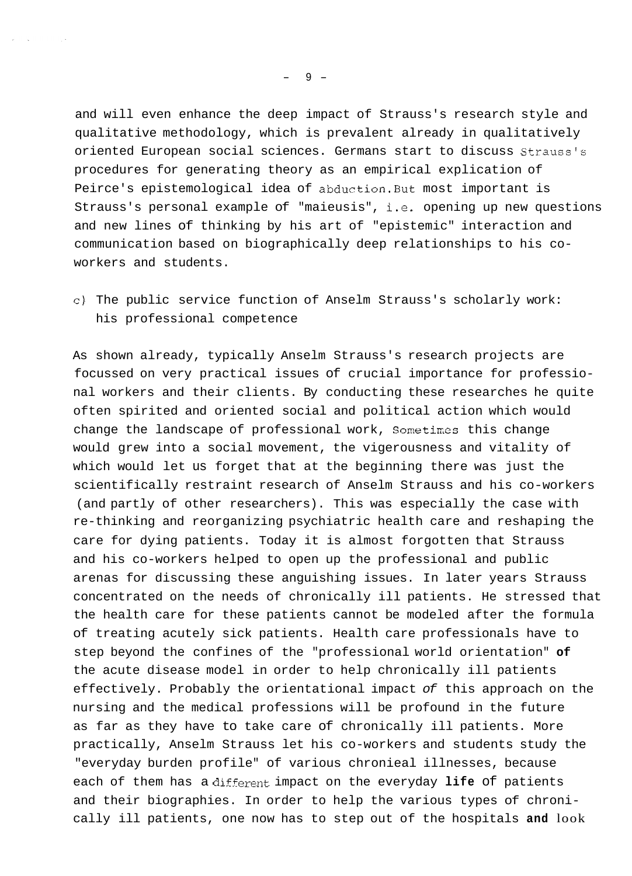and will even enhance the deep impact of Strauss's research style and qualitative methodology, which is prevalent already in qualitatively oriented European social sciences. Germans start to discuss Strauss's procedures for generating theory as an empirical explication of Peirce's epistemological idea of abduction.But most important is Strauss's personal example of "maieusis", i.e. opening up new questions and new lines of thinking by his art of "epistemic" interaction and communication based on biographically deep relationships to his coworkers and students.

c) The public service function of Anselm Strauss's scholarly work: his professional competence

As shown already, typically Anselm Strauss's research projects are focussed on very practical issues of crucial importance for professional workers and their clients. By conducting these researches he quite often spirited and oriented social and political action which would change the landscape of professional work, Sometimes this change would grew into a social movement, the vigerousness and vitality of which would let us forget that at the beginning there was just the scientifically restraint research of Anselm Strauss and his co-workers (and partly of other researchers). This was especially the case with re-thinking and reorganizing psychiatric health care and reshaping the care for dying patients. Today it is almost forgotten that Strauss and his co-workers helped to open up the professional and public arenas for discussing these anguishing issues. In later years Strauss concentrated on the needs of chronically ill patients. He stressed that the health care for these patients cannot be modeled after the formula of treating acutely sick patients. Health care professionals have to step beyond the confines of the "professional world orientation" **of**  the acute disease model in order to help chronically ill patients effectively. Probably the orientational impact *of* this approach on the nursing and the medical professions will be profound in the future as far as they have to take care of chronically ill patients. More practically, Anselm Strauss let his co-workers and students study the "everyday burden profile" of various chronieal illnesses, because each of them has a diferent impact on the everyday **life** of patients and their biographies. In order to help the various types of chronically ill patients, one now has to step out of the hospitals **and** look

 $- 9 -$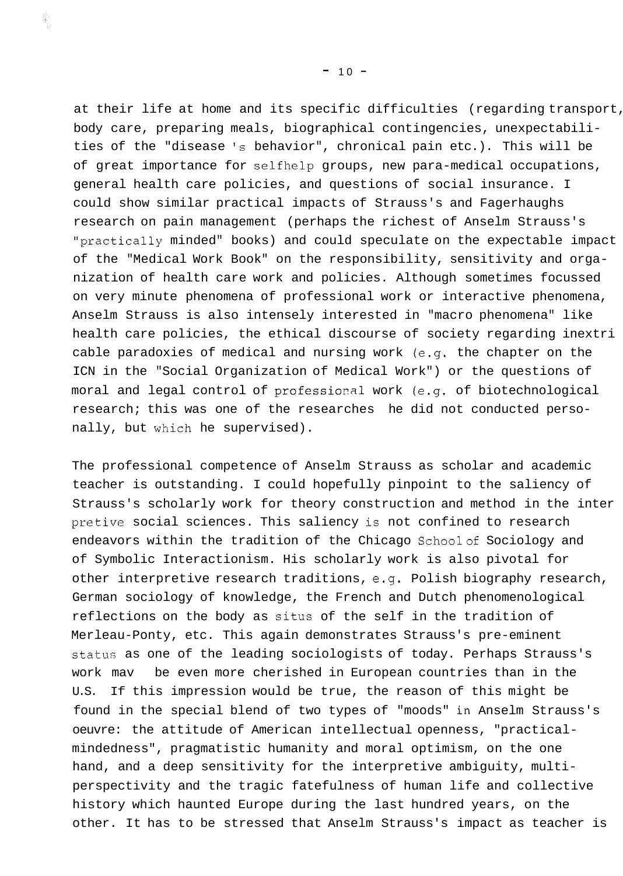at their life at home and its specific difficulties (regarding transport, body care, preparing meals, biographical contingencies, unexpectabilities of the "disease *'s* behavior", chronical pain etc.). This will be of great importance for selfhelp groups, new para-medical occupations, general health care policies, and questions of social insurance. I could show similar practical impacts of Strauss's and Fagerhaughs research on pain management (perhaps the richest of Anselm Strauss's "practically minded" books) and could speculate on the expectable impact of the "Medical Work Book" on the responsibility, sensitivity and organization of health care work and policies. Although sometimes focussed on very minute phenomena of professional work or interactive phenomena, Anselm Strauss is also intensely interested in "macro phenomena" like health care policies, the ethical discourse of society regarding inextri cable paradoxies of medical and nursing work (e.g. the chapter on the ICN in the "Social Organization of Medical Work") or the questions of moral and legal control of professional work (e.g. of biotechnological research; this was one of the researches he did not conducted personally, but which he supervised).

The professional competence of Anselm Strauss as scholar and academic teacher is outstanding. I could hopefully pinpoint to the saliency of Strauss's scholarly work for theory construction and method in the inter pretive social sciences. This saliency is not confined to research endeavors within the tradition of the Chicago School of Sociology and of Symbolic Interactionism. His scholarly work is also pivotal for other interpretive research traditions, e.g. Polish biography research, German sociology of knowledge, the French and Dutch phenomenological reflections on the body as situs of the self in the tradition of Merleau-Ponty, etc. This again demonstrates Strauss's pre-eminent status as one of the leading sociologists of today. Perhaps Strauss's work mav be even more cherished in European countries than in the U.S. If this impression would be true, the reason of this might be found in the special blend of two types of "moods" in Anselm Strauss's oeuvre: the attitude of American intellectual openness, "practicalmindedness", pragmatistic humanity and moral optimism, on the one hand, and a deep sensitivity for the interpretive ambiguity, multiperspectivity and the tragic fatefulness of human life and collective history which haunted Europe during the last hundred years, on the other. It has to be stressed that Anselm Strauss's impact as teacher is

 $- 10 -$